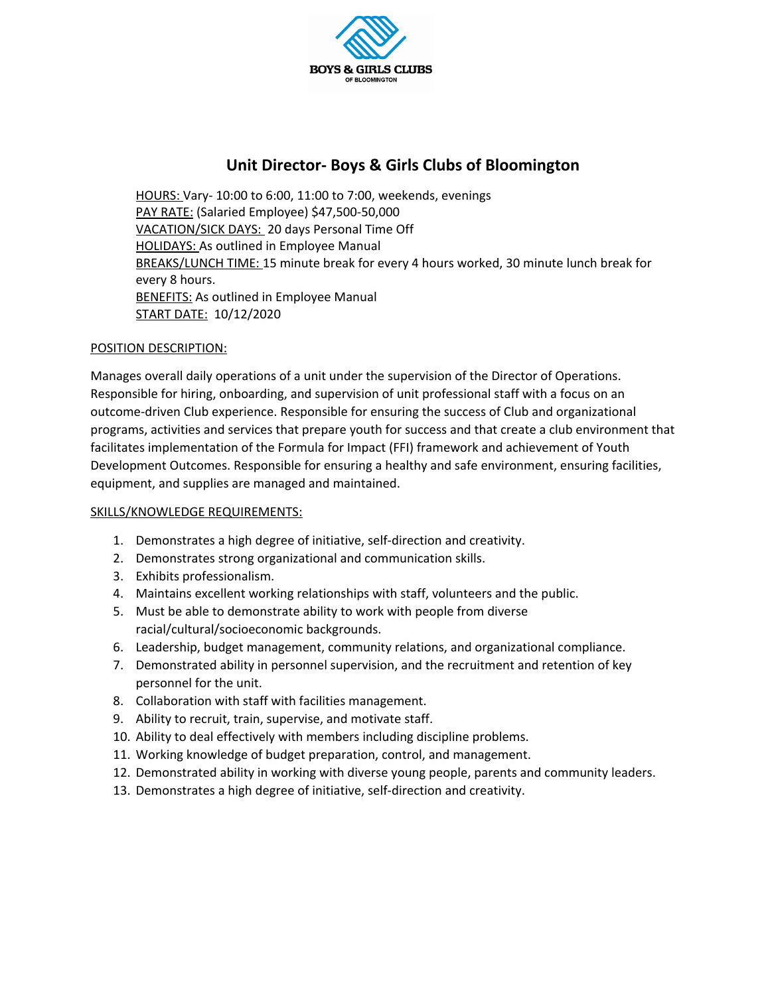

# **Unit Director- Boys & Girls Clubs of Bloomington**

HOURS: Vary- 10:00 to 6:00, 11:00 to 7:00, weekends, evenings PAY RATE: (Salaried Employee) \$47,500-50,000 VACATION/SICK DAYS: 20 days Personal Time Off HOLIDAYS: As outlined in Employee Manual BREAKS/LUNCH TIME: 15 minute break for every 4 hours worked, 30 minute lunch break for every 8 hours. **BENEFITS:** As outlined in Employee Manual START DATE: 10/12/2020

### POSITION DESCRIPTION:

Manages overall daily operations of a unit under the supervision of the Director of Operations. Responsible for hiring, onboarding, and supervision of unit professional staff with a focus on an outcome-driven Club experience. Responsible for ensuring the success of Club and organizational programs, activities and services that prepare youth for success and that create a club environment that facilitates implementation of the Formula for Impact (FFI) framework and achievement of Youth Development Outcomes. Responsible for ensuring a healthy and safe environment, ensuring facilities, equipment, and supplies are managed and maintained.

#### SKILLS/KNOWLEDGE REQUIREMENTS:

- 1. Demonstrates a high degree of initiative, self-direction and creativity.
- 2. Demonstrates strong organizational and communication skills.
- 3. Exhibits professionalism.
- 4. Maintains excellent working relationships with staff, volunteers and the public.
- 5. Must be able to demonstrate ability to work with people from diverse racial/cultural/socioeconomic backgrounds.
- 6. Leadership, budget management, community relations, and organizational compliance.
- 7. Demonstrated ability in personnel supervision, and the recruitment and retention of key personnel for the unit.
- 8. Collaboration with staff with facilities management.
- 9. Ability to recruit, train, supervise, and motivate staff.
- 10. Ability to deal effectively with members including discipline problems.
- 11. Working knowledge of budget preparation, control, and management.
- 12. Demonstrated ability in working with diverse young people, parents and community leaders.
- 13. Demonstrates a high degree of initiative, self-direction and creativity.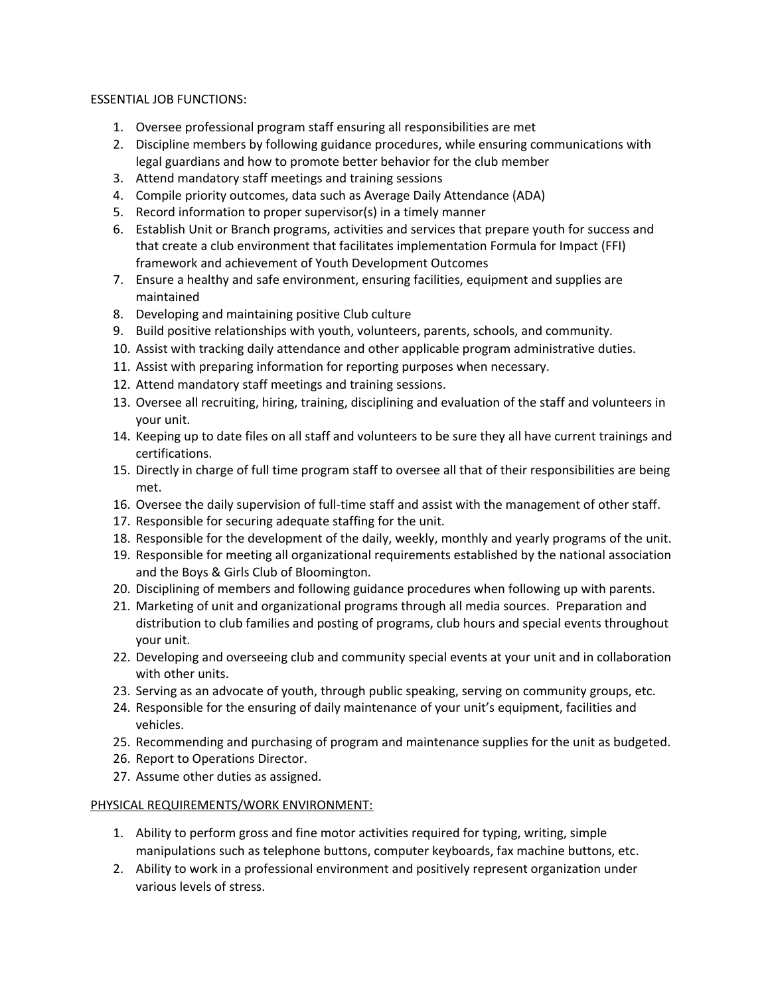#### ESSENTIAL JOB FUNCTIONS:

- 1. Oversee professional program staff ensuring all responsibilities are met
- 2. Discipline members by following guidance procedures, while ensuring communications with legal guardians and how to promote better behavior for the club member
- 3. Attend mandatory staff meetings and training sessions
- 4. Compile priority outcomes, data such as Average Daily Attendance (ADA)
- 5. Record information to proper supervisor(s) in a timely manner
- 6. Establish Unit or Branch programs, activities and services that prepare youth for success and that create a club environment that facilitates implementation Formula for Impact (FFI) framework and achievement of Youth Development Outcomes
- 7. Ensure a healthy and safe environment, ensuring facilities, equipment and supplies are maintained
- 8. Developing and maintaining positive Club culture
- 9. Build positive relationships with youth, volunteers, parents, schools, and community.
- 10. Assist with tracking daily attendance and other applicable program administrative duties.
- 11. Assist with preparing information for reporting purposes when necessary.
- 12. Attend mandatory staff meetings and training sessions.
- 13. Oversee all recruiting, hiring, training, disciplining and evaluation of the staff and volunteers in your unit.
- 14. Keeping up to date files on all staff and volunteers to be sure they all have current trainings and certifications.
- 15. Directly in charge of full time program staff to oversee all that of their responsibilities are being met.
- 16. Oversee the daily supervision of full-time staff and assist with the management of other staff.
- 17. Responsible for securing adequate staffing for the unit.
- 18. Responsible for the development of the daily, weekly, monthly and yearly programs of the unit.
- 19. Responsible for meeting all organizational requirements established by the national association and the Boys & Girls Club of Bloomington.
- 20. Disciplining of members and following guidance procedures when following up with parents.
- 21. Marketing of unit and organizational programs through all media sources. Preparation and distribution to club families and posting of programs, club hours and special events throughout your unit.
- 22. Developing and overseeing club and community special events at your unit and in collaboration with other units.
- 23. Serving as an advocate of youth, through public speaking, serving on community groups, etc.
- 24. Responsible for the ensuring of daily maintenance of your unit's equipment, facilities and vehicles.
- 25. Recommending and purchasing of program and maintenance supplies for the unit as budgeted.
- 26. Report to Operations Director.
- 27. Assume other duties as assigned.

## PHYSICAL REQUIREMENTS/WORK ENVIRONMENT:

- 1. Ability to perform gross and fine motor activities required for typing, writing, simple manipulations such as telephone buttons, computer keyboards, fax machine buttons, etc.
- 2. Ability to work in a professional environment and positively represent organization under various levels of stress.